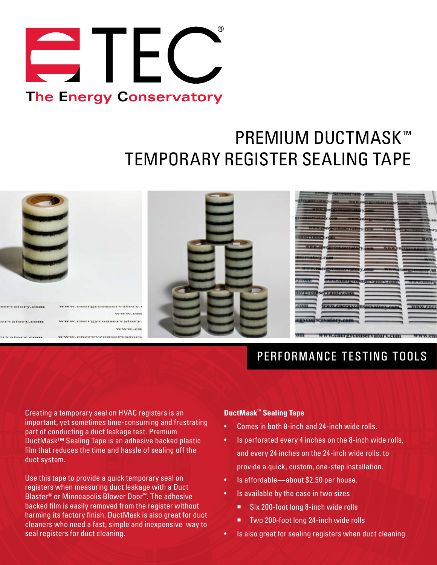

# PREMIUM DUCTMASK™ TEMPORARY REGISTER SEALING TAPE



### PERFORMANCE TESTING TOOLS

Creating a temporary seal on HVAC registers is an important, yet sometimes time-consuming and frustrating part of conducting a duct leakage test. Premium DuctMask™ Sealing Tape is an adhesive backed plastic film that reduces the time and hassle of sealing off the duct system.

Use this tape to provide a quick temporary seal on registers when measuring duct leakage with a Duct Blaster® or Minneapolis Blower Door™. The adhesive backed film is easily removed from the register without harming its factory finish. DuctMask is also great for duct cleaners who need a fast, simple and inexpensive way to seal registers for duct cleaning.

#### **DuctMask™ Sealing Tape**

- Comes in both 8-inch and 24-inch wide rolls.
- Is perforated every 4 inches on the 8-inch wide rolls, and every 24 inches on the 24-inch wide rolls. to provide a quick, custom, one-step installation.
- Is affordable—about \$2.50 per house.
- Is available by the case in two sizes
	- Six 200-foot long 8-inch wide rolls
	- Two 200-foot long 24-inch wide rolls
- Is also great for sealing registers when duct cleaning